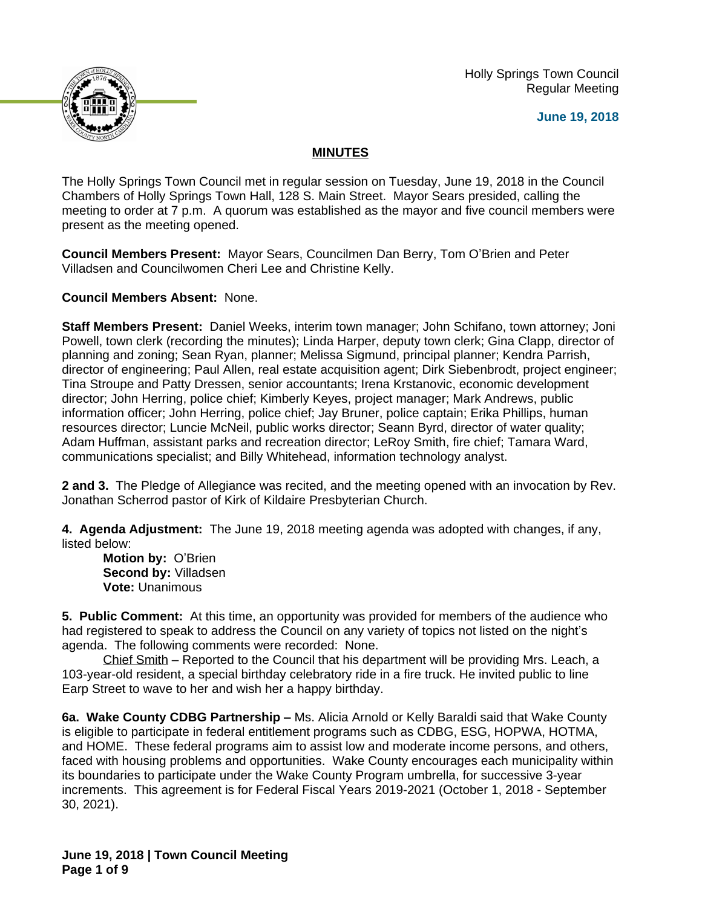Holly Springs Town Council Regular Meeting





## **MINUTES**

The Holly Springs Town Council met in regular session on Tuesday, June 19, 2018 in the Council Chambers of Holly Springs Town Hall, 128 S. Main Street. Mayor Sears presided, calling the meeting to order at 7 p.m. A quorum was established as the mayor and five council members were present as the meeting opened.

**Council Members Present:** Mayor Sears, Councilmen Dan Berry, Tom O'Brien and Peter Villadsen and Councilwomen Cheri Lee and Christine Kelly.

**Council Members Absent:** None.

**Staff Members Present:** Daniel Weeks, interim town manager; John Schifano, town attorney; Joni Powell, town clerk (recording the minutes); Linda Harper, deputy town clerk; Gina Clapp, director of planning and zoning; Sean Ryan, planner; Melissa Sigmund, principal planner; Kendra Parrish, director of engineering; Paul Allen, real estate acquisition agent; Dirk Siebenbrodt, project engineer; Tina Stroupe and Patty Dressen, senior accountants; Irena Krstanovic, economic development director; John Herring, police chief; Kimberly Keyes, project manager; Mark Andrews, public information officer; John Herring, police chief; Jay Bruner, police captain; Erika Phillips, human resources director; Luncie McNeil, public works director; Seann Byrd, director of water quality; Adam Huffman, assistant parks and recreation director; LeRoy Smith, fire chief; Tamara Ward, communications specialist; and Billy Whitehead, information technology analyst.

**2 and 3.** The Pledge of Allegiance was recited, and the meeting opened with an invocation by Rev. Jonathan Scherrod pastor of Kirk of Kildaire Presbyterian Church.

**4. Agenda Adjustment:** The June 19, 2018 meeting agenda was adopted with changes, if any, listed below:

**Motion by:** O'Brien **Second by:** Villadsen **Vote:** Unanimous

**5. Public Comment:** At this time, an opportunity was provided for members of the audience who had registered to speak to address the Council on any variety of topics not listed on the night's agenda. The following comments were recorded: None.

Chief Smith – Reported to the Council that his department will be providing Mrs. Leach, a 103-year-old resident, a special birthday celebratory ride in a fire truck. He invited public to line Earp Street to wave to her and wish her a happy birthday.

**6a. Wake County CDBG Partnership - Ms. Alicia Arnold or Kelly Baraldi said that Wake County** is eligible to participate in federal entitlement programs such as CDBG, ESG, HOPWA, HOTMA, and HOME. These federal programs aim to assist low and moderate income persons, and others, faced with housing problems and opportunities. Wake County encourages each municipality within its boundaries to participate under the Wake County Program umbrella, for successive 3-year increments. This agreement is for Federal Fiscal Years 2019-2021 (October 1, 2018 - September 30, 2021).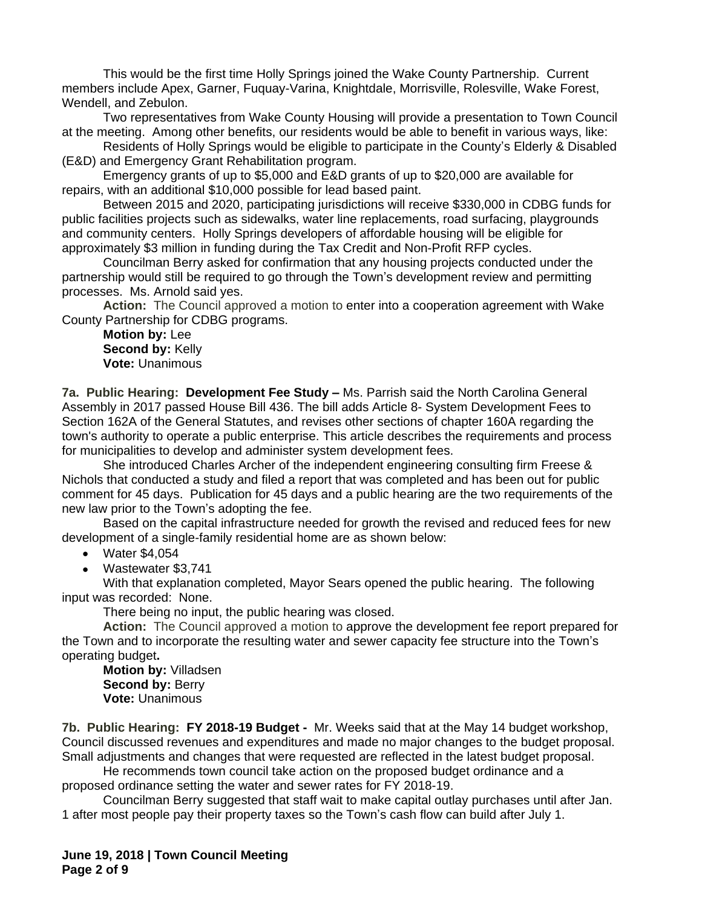This would be the first time Holly Springs joined the Wake County Partnership. Current members include Apex, Garner, Fuquay-Varina, Knightdale, Morrisville, Rolesville, Wake Forest, Wendell, and Zebulon.

Two representatives from Wake County Housing will provide a presentation to Town Council at the meeting. Among other benefits, our residents would be able to benefit in various ways, like:

Residents of Holly Springs would be eligible to participate in the County's Elderly & Disabled (E&D) and Emergency Grant Rehabilitation program.

Emergency grants of up to \$5,000 and E&D grants of up to \$20,000 are available for repairs, with an additional \$10,000 possible for lead based paint.

Between 2015 and 2020, participating jurisdictions will receive \$330,000 in CDBG funds for public facilities projects such as sidewalks, water line replacements, road surfacing, playgrounds and community centers. Holly Springs developers of affordable housing will be eligible for approximately \$3 million in funding during the Tax Credit and Non-Profit RFP cycles.

Councilman Berry asked for confirmation that any housing projects conducted under the partnership would still be required to go through the Town's development review and permitting processes. Ms. Arnold said yes.

**Action:** The Council approved a motion to enter into a cooperation agreement with Wake County Partnership for CDBG programs.

**Motion by:** Lee **Second by:** Kelly **Vote:** Unanimous

**7a. Public Hearing: Development Fee Study – Ms. Parrish said the North Carolina General** Assembly in 2017 passed House Bill 436. The bill adds Article 8- System Development Fees to Section 162A of the General Statutes, and revises other sections of chapter 160A regarding the town's authority to operate a public enterprise. This article describes the requirements and process for municipalities to develop and administer system development fees.

She introduced Charles Archer of the independent engineering consulting firm Freese & Nichols that conducted a study and filed a report that was completed and has been out for public comment for 45 days. Publication for 45 days and a public hearing are the two requirements of the new law prior to the Town's adopting the fee.

Based on the capital infrastructure needed for growth the revised and reduced fees for new development of a single-family residential home are as shown below:

- Water \$4,054
- Wastewater \$3,741

With that explanation completed, Mayor Sears opened the public hearing. The following input was recorded: None.

There being no input, the public hearing was closed.

**Action:** The Council approved a motion to approve the development fee report prepared for the Town and to incorporate the resulting water and sewer capacity fee structure into the Town's operating budget**.**

**Motion by:** Villadsen **Second by: Berry Vote:** Unanimous

**7b. Public Hearing: FY 2018-19 Budget -** Mr. Weeks said that at the May 14 budget workshop, Council discussed revenues and expenditures and made no major changes to the budget proposal. Small adjustments and changes that were requested are reflected in the latest budget proposal.

He recommends town council take action on the proposed budget ordinance and a proposed ordinance setting the water and sewer rates for FY 2018-19.

Councilman Berry suggested that staff wait to make capital outlay purchases until after Jan. 1 after most people pay their property taxes so the Town's cash flow can build after July 1.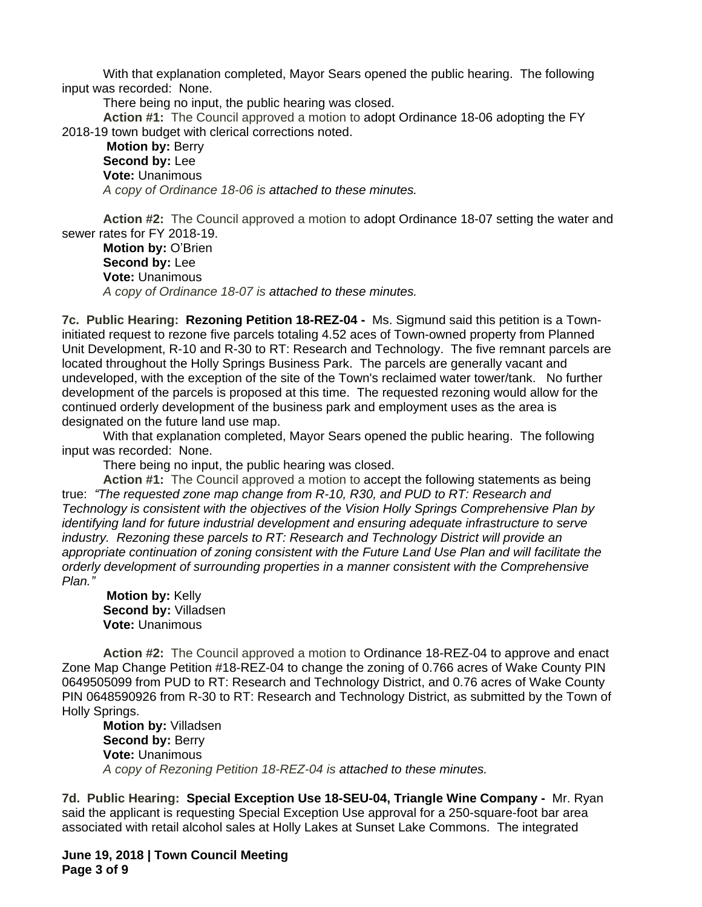With that explanation completed, Mayor Sears opened the public hearing. The following input was recorded: None.

There being no input, the public hearing was closed.

**Action #1:** The Council approved a motion to adopt Ordinance 18-06 adopting the FY 2018-19 town budget with clerical corrections noted.

**Motion by:** Berry **Second by:** Lee **Vote:** Unanimous *A copy of Ordinance 18-06 is attached to these minutes.*

**Action #2:** The Council approved a motion to adopt Ordinance 18-07 setting the water and sewer rates for FY 2018-19.

**Motion by:** O'Brien **Second by:** Lee **Vote:** Unanimous *A copy of Ordinance 18-07 is attached to these minutes.*

**7c. Public Hearing: Rezoning Petition 18-REZ-04 -** Ms. Sigmund said this petition is a Towninitiated request to rezone five parcels totaling 4.52 aces of Town-owned property from Planned Unit Development, R-10 and R-30 to RT: Research and Technology. The five remnant parcels are located throughout the Holly Springs Business Park. The parcels are generally vacant and undeveloped, with the exception of the site of the Town's reclaimed water tower/tank. No further development of the parcels is proposed at this time. The requested rezoning would allow for the continued orderly development of the business park and employment uses as the area is designated on the future land use map.

With that explanation completed, Mayor Sears opened the public hearing. The following input was recorded: None.

There being no input, the public hearing was closed.

**Action #1:** The Council approved a motion to accept the following statements as being true: *"The requested zone map change from R-10, R30, and PUD to RT: Research and Technology is consistent with the objectives of the Vision Holly Springs Comprehensive Plan by identifying land for future industrial development and ensuring adequate infrastructure to serve industry. Rezoning these parcels to RT: Research and Technology District will provide an appropriate continuation of zoning consistent with the Future Land Use Plan and will facilitate the orderly development of surrounding properties in a manner consistent with the Comprehensive Plan."*

**Motion by:** Kelly **Second by:** Villadsen **Vote:** Unanimous

**Action #2:** The Council approved a motion to Ordinance 18-REZ-04 to approve and enact Zone Map Change Petition #18-REZ-04 to change the zoning of 0.766 acres of Wake County PIN 0649505099 from PUD to RT: Research and Technology District, and 0.76 acres of Wake County PIN 0648590926 from R-30 to RT: Research and Technology District, as submitted by the Town of Holly Springs.

**Motion by:** Villadsen **Second by: Berry Vote:** Unanimous *A copy of Rezoning Petition 18-REZ-04 is attached to these minutes.*

**7d. Public Hearing: Special Exception Use 18-SEU-04, Triangle Wine Company -** Mr. Ryan said the applicant is requesting Special Exception Use approval for a 250-square-foot bar area associated with retail alcohol sales at Holly Lakes at Sunset Lake Commons. The integrated

**June 19, 2018 | Town Council Meeting Page 3 of 9**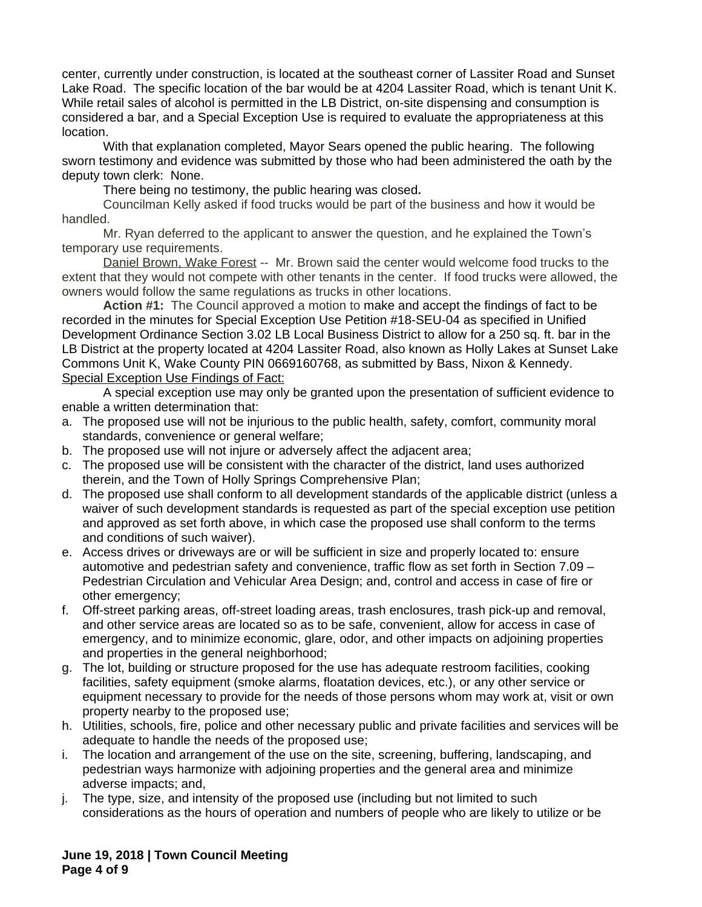center, currently under construction, is located at the southeast corner of Lassiter Road and Sunset Lake Road. The specific location of the bar would be at 4204 Lassiter Road, which is tenant Unit K. While retail sales of alcohol is permitted in the LB District, on-site dispensing and consumption is considered a bar, and a Special Exception Use is required to evaluate the appropriateness at this location.

With that explanation completed, Mayor Sears opened the public hearing. The following sworn testimony and evidence was submitted by those who had been administered the oath by the deputy town clerk: None.

There being no testimony, the public hearing was closed**.**

Councilman Kelly asked if food trucks would be part of the business and how it would be handled.

Mr. Ryan deferred to the applicant to answer the question, and he explained the Town's temporary use requirements.

Daniel Brown, Wake Forest -- Mr. Brown said the center would welcome food trucks to the extent that they would not compete with other tenants in the center. If food trucks were allowed, the owners would follow the same regulations as trucks in other locations.

**Action #1:** The Council approved a motion to make and accept the findings of fact to be recorded in the minutes for Special Exception Use Petition #18-SEU-04 as specified in Unified Development Ordinance Section 3.02 LB Local Business District to allow for a 250 sq. ft. bar in the LB District at the property located at 4204 Lassiter Road, also known as Holly Lakes at Sunset Lake Commons Unit K, Wake County PIN 0669160768, as submitted by Bass, Nixon & Kennedy. Special Exception Use Findings of Fact:

A special exception use may only be granted upon the presentation of sufficient evidence to enable a written determination that:

- a. The proposed use will not be injurious to the public health, safety, comfort, community moral standards, convenience or general welfare;
- b. The proposed use will not injure or adversely affect the adjacent area;
- c. The proposed use will be consistent with the character of the district, land uses authorized therein, and the Town of Holly Springs Comprehensive Plan;
- d. The proposed use shall conform to all development standards of the applicable district (unless a waiver of such development standards is requested as part of the special exception use petition and approved as set forth above, in which case the proposed use shall conform to the terms and conditions of such waiver).
- e. Access drives or driveways are or will be sufficient in size and properly located to: ensure automotive and pedestrian safety and convenience, traffic flow as set forth in Section 7.09 – Pedestrian Circulation and Vehicular Area Design; and, control and access in case of fire or other emergency;
- f. Off-street parking areas, off-street loading areas, trash enclosures, trash pick-up and removal, and other service areas are located so as to be safe, convenient, allow for access in case of emergency, and to minimize economic, glare, odor, and other impacts on adjoining properties and properties in the general neighborhood;
- g. The lot, building or structure proposed for the use has adequate restroom facilities, cooking facilities, safety equipment (smoke alarms, floatation devices, etc.), or any other service or equipment necessary to provide for the needs of those persons whom may work at, visit or own property nearby to the proposed use;
- h. Utilities, schools, fire, police and other necessary public and private facilities and services will be adequate to handle the needs of the proposed use;
- i. The location and arrangement of the use on the site, screening, buffering, landscaping, and pedestrian ways harmonize with adjoining properties and the general area and minimize adverse impacts; and,
- j. The type, size, and intensity of the proposed use (including but not limited to such considerations as the hours of operation and numbers of people who are likely to utilize or be

**June 19, 2018 | Town Council Meeting Page 4 of 9**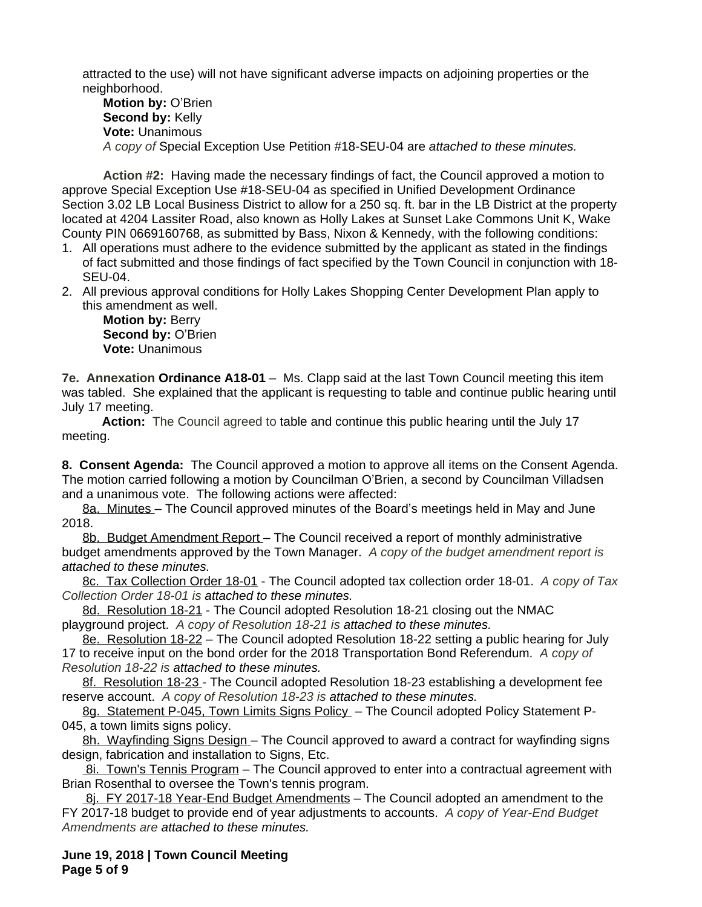attracted to the use) will not have significant adverse impacts on adjoining properties or the neighborhood.

**Motion by:** O'Brien **Second by:** Kelly **Vote:** Unanimous *A copy of* Special Exception Use Petition #18-SEU-04 are *attached to these minutes.*

**Action #2:** Having made the necessary findings of fact, the Council approved a motion to approve Special Exception Use #18-SEU-04 as specified in Unified Development Ordinance Section 3.02 LB Local Business District to allow for a 250 sq. ft. bar in the LB District at the property located at 4204 Lassiter Road, also known as Holly Lakes at Sunset Lake Commons Unit K, Wake County PIN 0669160768, as submitted by Bass, Nixon & Kennedy, with the following conditions:

- 1. All operations must adhere to the evidence submitted by the applicant as stated in the findings of fact submitted and those findings of fact specified by the Town Council in conjunction with 18- SEU-04.
- 2. All previous approval conditions for Holly Lakes Shopping Center Development Plan apply to this amendment as well.

**Motion by:** Berry **Second by:** O'Brien **Vote:** Unanimous

**7e. Annexation Ordinance A18-01** – Ms. Clapp said at the last Town Council meeting this item was tabled. She explained that the applicant is requesting to table and continue public hearing until July 17 meeting.

**Action:** The Council agreed to table and continue this public hearing until the July 17 meeting.

**8. Consent Agenda:** The Council approved a motion to approve all items on the Consent Agenda. The motion carried following a motion by Councilman O'Brien, a second by Councilman Villadsen and a unanimous vote. The following actions were affected:

8a. Minutes – The Council approved minutes of the Board's meetings held in May and June 2018.

8b. Budget Amendment Report – The Council received a report of monthly administrative budget amendments approved by the Town Manager. *A copy of the budget amendment report is attached to these minutes.*

8c. Tax Collection Order 18-01 - The Council adopted tax collection order 18-01.*A copy of Tax Collection Order 18-01 is attached to these minutes.*

8d. Resolution 18-21 - The Council adopted Resolution 18-21 closing out the NMAC playground project.*A copy of Resolution 18-21 is attached to these minutes.*

8e. Resolution 18-22 – The Council adopted Resolution 18-22 setting a public hearing for July 17 to receive input on the bond order for the 2018 Transportation Bond Referendum. *A copy of Resolution 18-22 is attached to these minutes.*

8f. Resolution 18-23 - The Council adopted Resolution 18-23 establishing a development fee reserve account. *A copy of Resolution 18-23 is attached to these minutes.*

8g. Statement P-045, Town Limits Signs Policy - The Council adopted Policy Statement P-045, a town limits signs policy.

8h. Wayfinding Signs Design – The Council approved to award a contract for wayfinding signs design, fabrication and installation to Signs, Etc.

 8i. Town's Tennis Program – The Council approved to enter into a contractual agreement with Brian Rosenthal to oversee the Town's tennis program.

8j. FY 2017-18 Year-End Budget Amendments - The Council adopted an amendment to the FY 2017-18 budget to provide end of year adjustments to accounts. *A copy of Year-End Budget Amendments are attached to these minutes.*

**June 19, 2018 | Town Council Meeting Page 5 of 9**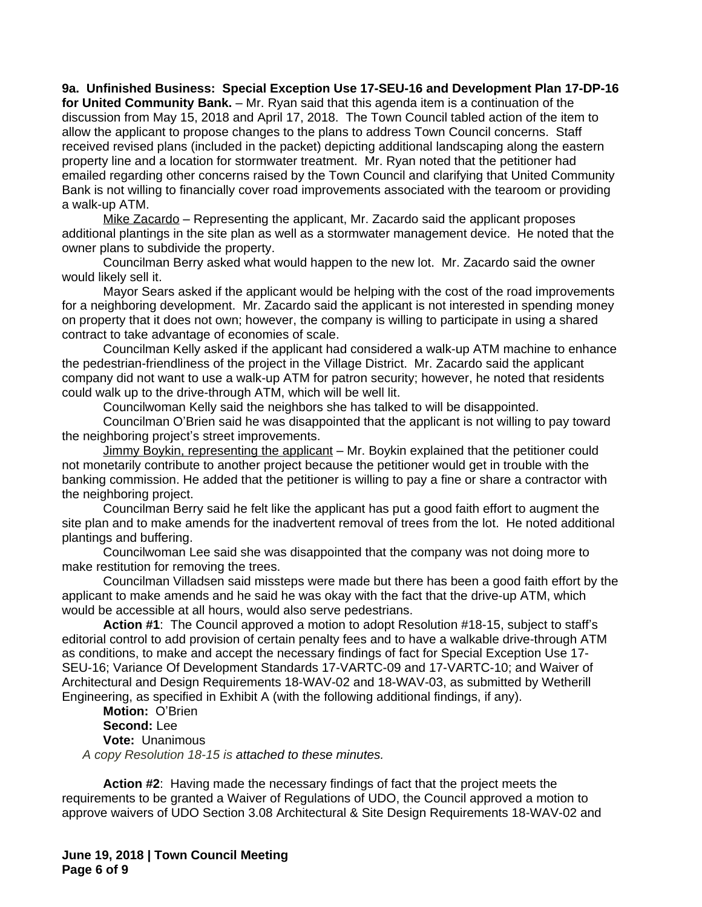**9a. Unfinished Business: Special Exception Use 17-SEU-16 and Development Plan 17-DP-16 for United Community Bank.** – Mr. Ryan said that this agenda item is a continuation of the discussion from May 15, 2018 and April 17, 2018. The Town Council tabled action of the item to allow the applicant to propose changes to the plans to address Town Council concerns. Staff received revised plans (included in the packet) depicting additional landscaping along the eastern property line and a location for stormwater treatment. Mr. Ryan noted that the petitioner had emailed regarding other concerns raised by the Town Council and clarifying that United Community Bank is not willing to financially cover road improvements associated with the tearoom or providing a walk-up ATM.

Mike Zacardo - Representing the applicant, Mr. Zacardo said the applicant proposes additional plantings in the site plan as well as a stormwater management device. He noted that the owner plans to subdivide the property.

Councilman Berry asked what would happen to the new lot. Mr. Zacardo said the owner would likely sell it.

Mayor Sears asked if the applicant would be helping with the cost of the road improvements for a neighboring development. Mr. Zacardo said the applicant is not interested in spending money on property that it does not own; however, the company is willing to participate in using a shared contract to take advantage of economies of scale.

Councilman Kelly asked if the applicant had considered a walk-up ATM machine to enhance the pedestrian-friendliness of the project in the Village District. Mr. Zacardo said the applicant company did not want to use a walk-up ATM for patron security; however, he noted that residents could walk up to the drive-through ATM, which will be well lit.

Councilwoman Kelly said the neighbors she has talked to will be disappointed.

Councilman O'Brien said he was disappointed that the applicant is not willing to pay toward the neighboring project's street improvements.

Jimmy Boykin, representing the applicant – Mr. Boykin explained that the petitioner could not monetarily contribute to another project because the petitioner would get in trouble with the banking commission. He added that the petitioner is willing to pay a fine or share a contractor with the neighboring project.

Councilman Berry said he felt like the applicant has put a good faith effort to augment the site plan and to make amends for the inadvertent removal of trees from the lot. He noted additional plantings and buffering.

Councilwoman Lee said she was disappointed that the company was not doing more to make restitution for removing the trees.

Councilman Villadsen said missteps were made but there has been a good faith effort by the applicant to make amends and he said he was okay with the fact that the drive-up ATM, which would be accessible at all hours, would also serve pedestrians.

**Action #1**: The Council approved a motion to adopt Resolution #18-15, subject to staff's editorial control to add provision of certain penalty fees and to have a walkable drive-through ATM as conditions, to make and accept the necessary findings of fact for Special Exception Use 17- SEU-16; Variance Of Development Standards 17-VARTC-09 and 17-VARTC-10; and Waiver of Architectural and Design Requirements 18-WAV-02 and 18-WAV-03, as submitted by Wetherill Engineering, as specified in Exhibit A (with the following additional findings, if any).

**Motion:** O'Brien **Second:** Lee **Vote:** Unanimous *A copy Resolution 18-15 is attached to these minutes.*

**Action #2**: Having made the necessary findings of fact that the project meets the requirements to be granted a Waiver of Regulations of UDO, the Council approved a motion to approve waivers of UDO Section 3.08 Architectural & Site Design Requirements 18-WAV-02 and

**June 19, 2018 | Town Council Meeting Page 6 of 9**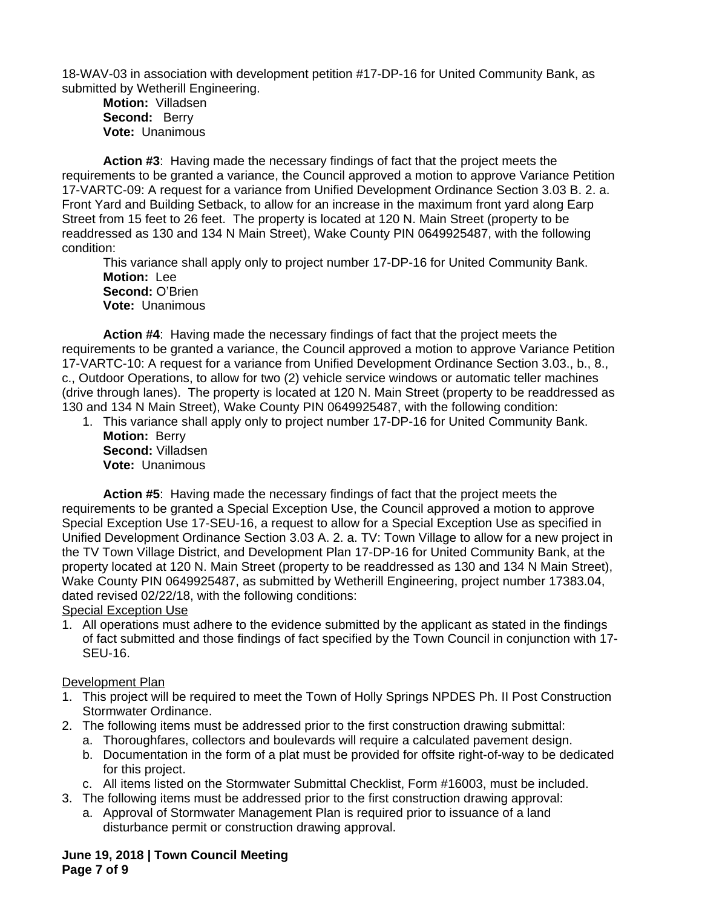18-WAV-03 in association with development petition #17-DP-16 for United Community Bank, as submitted by Wetherill Engineering.

**Motion:** Villadsen **Second:** Berry **Vote:** Unanimous

**Action #3**: Having made the necessary findings of fact that the project meets the requirements to be granted a variance, the Council approved a motion to approve Variance Petition 17-VARTC-09: A request for a variance from Unified Development Ordinance Section 3.03 B. 2. a. Front Yard and Building Setback, to allow for an increase in the maximum front yard along Earp Street from 15 feet to 26 feet. The property is located at 120 N. Main Street (property to be readdressed as 130 and 134 N Main Street), Wake County PIN 0649925487, with the following condition:

This variance shall apply only to project number 17-DP-16 for United Community Bank. **Motion:** Lee **Second:** O'Brien **Vote:** Unanimous

**Action #4**: Having made the necessary findings of fact that the project meets the requirements to be granted a variance, the Council approved a motion to approve Variance Petition 17-VARTC-10: A request for a variance from Unified Development Ordinance Section 3.03., b., 8., c., Outdoor Operations, to allow for two (2) vehicle service windows or automatic teller machines (drive through lanes). The property is located at 120 N. Main Street (property to be readdressed as 130 and 134 N Main Street), Wake County PIN 0649925487, with the following condition:

1. This variance shall apply only to project number 17-DP-16 for United Community Bank. **Motion:** Berry **Second:** Villadsen **Vote:** Unanimous

**Action #5**: Having made the necessary findings of fact that the project meets the requirements to be granted a Special Exception Use, the Council approved a motion to approve Special Exception Use 17-SEU-16, a request to allow for a Special Exception Use as specified in Unified Development Ordinance Section 3.03 A. 2. a. TV: Town Village to allow for a new project in the TV Town Village District, and Development Plan 17-DP-16 for United Community Bank, at the property located at 120 N. Main Street (property to be readdressed as 130 and 134 N Main Street), Wake County PIN 0649925487, as submitted by Wetherill Engineering, project number 17383.04, dated revised 02/22/18, with the following conditions:

Special Exception Use

1. All operations must adhere to the evidence submitted by the applicant as stated in the findings of fact submitted and those findings of fact specified by the Town Council in conjunction with 17- SEU-16.

## Development Plan

- 1. This project will be required to meet the Town of Holly Springs NPDES Ph. II Post Construction Stormwater Ordinance.
- 2. The following items must be addressed prior to the first construction drawing submittal:
	- a. Thoroughfares, collectors and boulevards will require a calculated pavement design.
	- b. Documentation in the form of a plat must be provided for offsite right-of-way to be dedicated for this project.
	- c. All items listed on the Stormwater Submittal Checklist, Form #16003, must be included.
- 3. The following items must be addressed prior to the first construction drawing approval:
	- a. Approval of Stormwater Management Plan is required prior to issuance of a land disturbance permit or construction drawing approval.

## **June 19, 2018 | Town Council Meeting Page 7 of 9**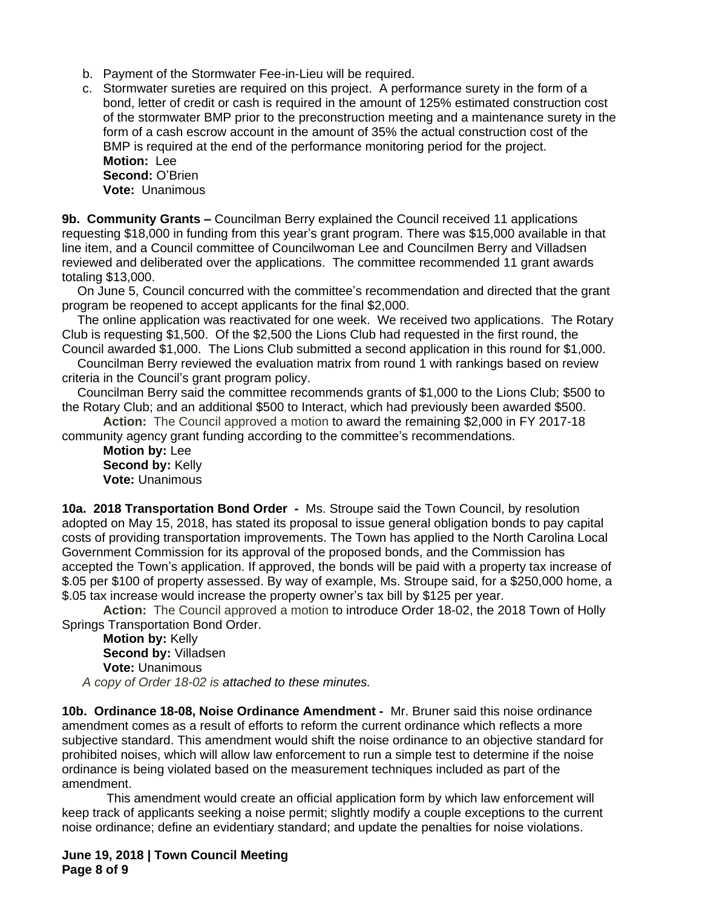- b. Payment of the Stormwater Fee-in-Lieu will be required.
- c. Stormwater sureties are required on this project. A performance surety in the form of a bond, letter of credit or cash is required in the amount of 125% estimated construction cost of the stormwater BMP prior to the preconstruction meeting and a maintenance surety in the form of a cash escrow account in the amount of 35% the actual construction cost of the BMP is required at the end of the performance monitoring period for the project. **Motion:** Lee **Second:** O'Brien **Vote:** Unanimous

**9b. Community Grants –** Councilman Berry explained the Council received 11 applications requesting \$18,000 in funding from this year's grant program. There was \$15,000 available in that line item, and a Council committee of Councilwoman Lee and Councilmen Berry and Villadsen reviewed and deliberated over the applications. The committee recommended 11 grant awards totaling \$13,000.

On June 5, Council concurred with the committee's recommendation and directed that the grant program be reopened to accept applicants for the final \$2,000.

The online application was reactivated for one week. We received two applications. The Rotary Club is requesting \$1,500. Of the \$2,500 the Lions Club had requested in the first round, the Council awarded \$1,000. The Lions Club submitted a second application in this round for \$1,000.

Councilman Berry reviewed the evaluation matrix from round 1 with rankings based on review criteria in the Council's grant program policy.

Councilman Berry said the committee recommends grants of \$1,000 to the Lions Club; \$500 to the Rotary Club; and an additional \$500 to Interact, which had previously been awarded \$500.

**Action:** The Council approved a motion to award the remaining \$2,000 in FY 2017-18 community agency grant funding according to the committee's recommendations.

**Motion by:** Lee **Second by: Kelly Vote:** Unanimous

**10a. 2018 Transportation Bond Order -** Ms. Stroupe said the Town Council, by resolution adopted on May 15, 2018, has stated its proposal to issue general obligation bonds to pay capital costs of providing transportation improvements. The Town has applied to the North Carolina Local Government Commission for its approval of the proposed bonds, and the Commission has accepted the Town's application. If approved, the bonds will be paid with a property tax increase of \$.05 per \$100 of property assessed. By way of example, Ms. Stroupe said, for a \$250,000 home, a \$.05 tax increase would increase the property owner's tax bill by \$125 per year.

**Action:** The Council approved a motion to introduce Order 18-02, the 2018 Town of Holly Springs Transportation Bond Order.

**Motion by:** Kelly **Second by:** Villadsen **Vote:** Unanimous *A copy of Order 18-02 is attached to these minutes.*

**10b. Ordinance 18-08, Noise Ordinance Amendment -** Mr. Bruner said this noise ordinance amendment comes as a result of efforts to reform the current ordinance which reflects a more subjective standard. This amendment would shift the noise ordinance to an objective standard for prohibited noises, which will allow law enforcement to run a simple test to determine if the noise ordinance is being violated based on the measurement techniques included as part of the amendment.

 This amendment would create an official application form by which law enforcement will keep track of applicants seeking a noise permit; slightly modify a couple exceptions to the current noise ordinance; define an evidentiary standard; and update the penalties for noise violations.

**June 19, 2018 | Town Council Meeting Page 8 of 9**